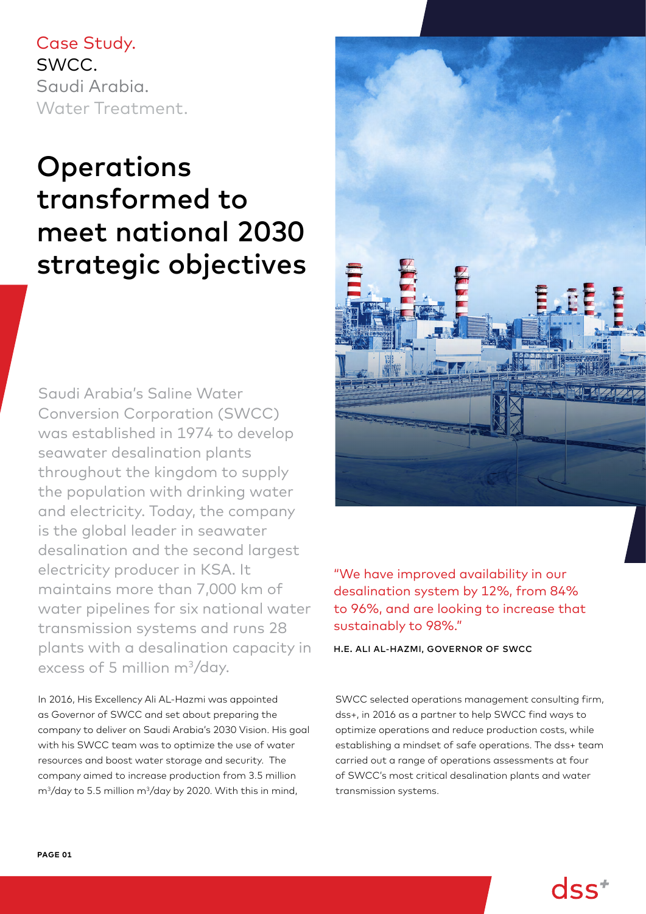Case Study. SWCC. Saudi Arabia. Water Treatment.

# **Operations** transformed to meet national 2030 strategic objectives

Saudi Arabia's Saline Water Conversion Corporation (SWCC) was established in 1974 to develop seawater desalination plants throughout the kingdom to supply the population with drinking water and electricity. Today, the company is the global leader in seawater desalination and the second largest electricity producer in KSA. It maintains more than 7,000 km of water pipelines for six national water transmission systems and runs 28 plants with a desalination capacity in excess of 5 million m<sup>3</sup>/day.

In 2016, His Excellency Ali AL-Hazmi was appointed as Governor of SWCC and set about preparing the company to deliver on Saudi Arabia's 2030 Vision. His goal with his SWCC team was to optimize the use of water resources and boost water storage and security. The company aimed to increase production from 3.5 million  $m^3$ /day to 5.5 million m $^3$ /day by 2020. With this in mind,



"We have improved availability in our desalination system by 12%, from 84% to 96%, and are looking to increase that sustainably to 98%."

H.E. ALI AL-HAZMI, GOVERNOR OF SWCC

SWCC selected operations management consulting firm, dss+, in 2016 as a partner to help SWCC find ways to optimize operations and reduce production costs, while establishing a mindset of safe operations. The dss+ team carried out a range of operations assessments at four of SWCC's most critical desalination plants and water transmission systems.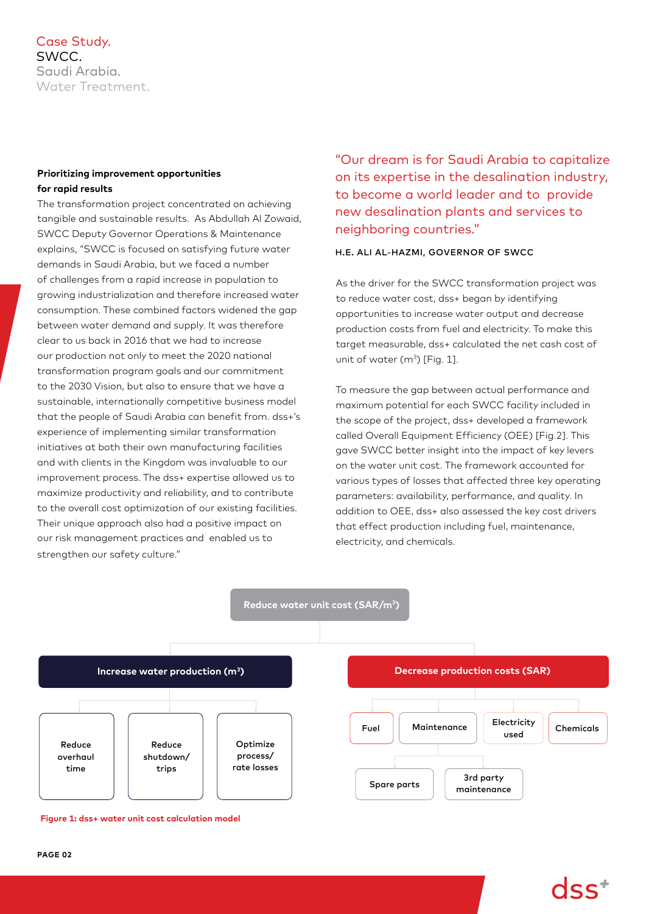# Case Study. SWCC. Saudi Arabia. Water Treatment.

# **Prioritizing improvement opportunities for rapid results**

The transformation project concentrated on achieving tangible and sustainable results. As Abdullah Al Zowaid, SWCC Deputy Governor Operations & Maintenance explains, "SWCC is focused on satisfying future water demands in Saudi Arabia, but we faced a number of challenges from a rapid increase in population to growing industrialization and therefore increased water consumption. These combined factors widened the gap between water demand and supply. It was therefore clear to us back in 2016 that we had to increase our production not only to meet the 2020 national transformation program goals and our commitment to the 2030 Vision, but also to ensure that we have a sustainable, internationally competitive business model that the people of Saudi Arabia can benefit from. dss+'s experience of implementing similar transformation initiatives at both their own manufacturing facilities and with clients in the Kingdom was invaluable to our improvement process. The dss+ expertise allowed us to maximize productivity and reliability, and to contribute to the overall cost optimization of our existing facilities. Their unique approach also had a positive impact on our risk management practices and enabled us to strengthen our safety culture."

"Our dream is for Saudi Arabia to capitalize on its expertise in the desalination industry, to become a world leader and to provide new desalination plants and services to neighboring countries."

## H.E. ALI AL-HAZMI, GOVERNOR OF SWCC

As the driver for the SWCC transformation project was to reduce water cost, dss+ began by identifying opportunities to increase water output and decrease production costs from fuel and electricity. To make this target measurable, dss+ calculated the net cash cost of unit of water  $(m^3)$  [Fig. 1].

To measure the gap between actual performance and maximum potential for each SWCC facility included in the scope of the project, dss+ developed a framework called Overall Equipment Efficiency (OEE) [Fig.2]. This gave SWCC better insight into the impact of key levers on the water unit cost. The framework accounted for various types of losses that affected three key operating parameters: availability, performance, and quality. In addition to OEE, dss+ also assessed the key cost drivers that effect production including fuel, maintenance, electricity, and chemicals.



**Figure 1: dss+ water unit cost calculation model**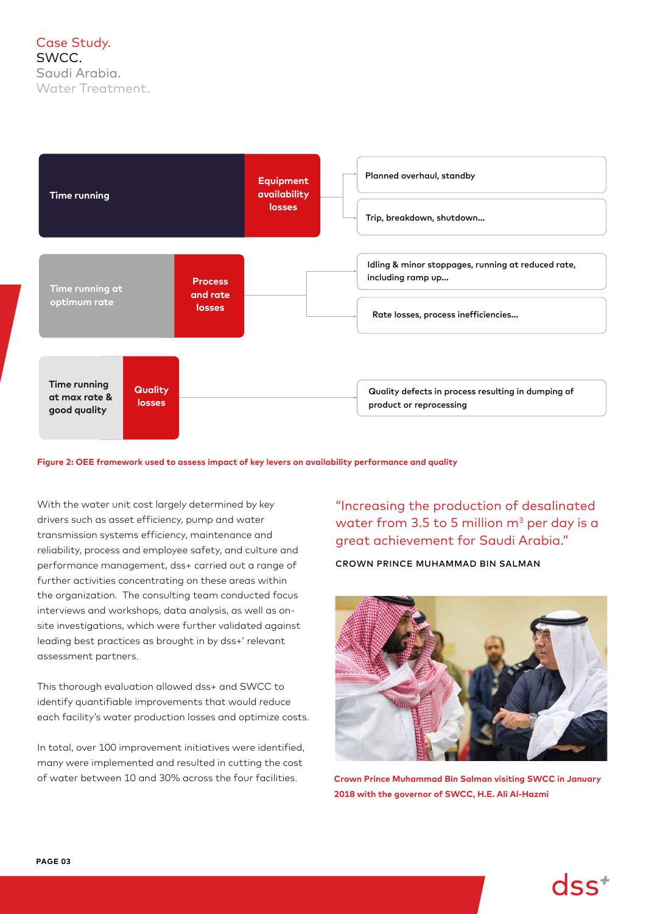

**Figure 2: OEE framework used to assess impact of key levers on availability performance and quality**

With the water unit cost largely determined by key drivers such as asset efficiency, pump and water transmission systems efficiency, maintenance and reliability, process and employee safety, and culture and performance management, dss+ carried out a range of further activities concentrating on these areas within the organization. The consulting team conducted focus interviews and workshops, data analysis, as well as onsite investigations, which were further validated against leading best practices as brought in by dss+' relevant assessment partners.

This thorough evaluation allowed dss+ and SWCC to identify quantifiable improvements that would reduce each facility's water production losses and optimize costs.

In total, over 100 improvement initiatives were identified, many were implemented and resulted in cutting the cost of water between 10 and 30% across the four facilities.

"Increasing the production of desalinated water from 3.5 to 5 million  $m^3$  per day is a great achievement for Saudi Arabia."

CROWN PRINCE MUHAMMAD BIN SALMAN



**Crown Prince Muhammad Bin Salman visiting SWCC in January 2018 with the governor of SWCC, H.E. Ali Al-Hazmi**

 $dss^*$